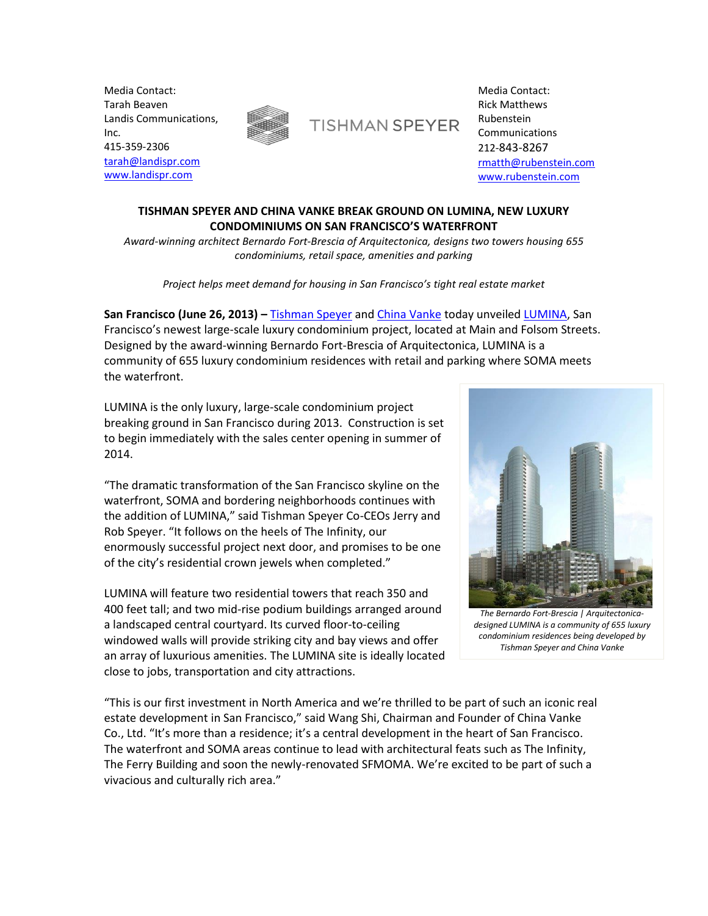Media Contact: Tarah Beaven Landis Communications, Inc. 415-359-2306 [tarah@landispr.com](mailto:tarah@landispr.com) [www.landispr.com](http://www.landispr.com/)



**TISHMAN SPEYER** 

Media Contact: Rick Matthews Rubenstein Communications 212-843-8267 [rmatth@rubenstein.com](mailto:rmatth@rubenstein.com) [www.rubenstein.com](http://www.rubenstein.com/)

# **TISHMAN SPEYER AND CHINA VANKE BREAK GROUND ON LUMINA, NEW LUXURY CONDOMINIUMS ON SAN FRANCISCO'S WATERFRONT**

*Award-winning architect Bernardo Fort-Brescia of Arquitectonica, designs two towers housing 655 condominiums, retail space, amenities and parking*

*Project helps meet demand for housing in San Francisco's tight real estate market*

**San Francisco (June 26, 2013) –** [Tishman Speyer](http://www.tishmanspeyer.com/) and [China Vanke](http://www.vanke.com/en/Default.aspx) today unveiled [LUMINA,](http://www.luminasf.com/) San Francisco's newest large-scale luxury condominium project, located at Main and Folsom Streets. Designed by the award-winning Bernardo Fort-Brescia of Arquitectonica, LUMINA is a community of 655 luxury condominium residences with retail and parking where SOMA meets the waterfront.

LUMINA is the only luxury, large-scale condominium project breaking ground in San Francisco during 2013. Construction is set to begin immediately with the sales center opening in summer of 2014.

"The dramatic transformation of the San Francisco skyline on the waterfront, SOMA and bordering neighborhoods continues with the addition of LUMINA," said Tishman Speyer Co-CEOs Jerry and Rob Speyer. "It follows on the heels of The Infinity, our enormously successful project next door, and promises to be one of the city's residential crown jewels when completed."

LUMINA will feature two residential towers that reach 350 and 400 feet tall; and two mid-rise podium buildings arranged around a landscaped central courtyard. Its curved floor-to-ceiling windowed walls will provide striking city and bay views and offer an array of luxurious amenities. The LUMINA site is ideally located close to jobs, transportation and city attractions.



*The Bernardo Fort-Brescia | Arquitectonicadesigned LUMINA is a community of 655 luxury condominium residences being developed by Tishman Speyer and China Vanke* 

"This is our first investment in North America and we're thrilled to be part of such an iconic real estate development in San Francisco," said Wang Shi, Chairman and Founder of China Vanke Co., Ltd. "It's more than a residence; it's a central development in the heart of San Francisco. The waterfront and SOMA areas continue to lead with architectural feats such as The Infinity, The Ferry Building and soon the newly-renovated SFMOMA. We're excited to be part of such a vivacious and culturally rich area."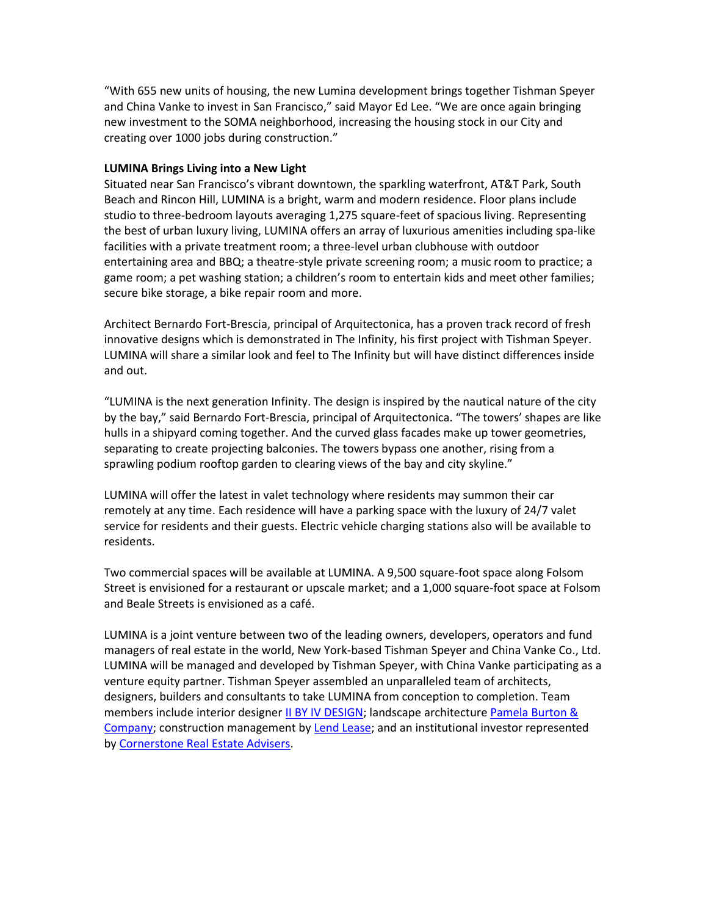"With 655 new units of housing, the new Lumina development brings together Tishman Speyer and China Vanke to invest in San Francisco," said Mayor Ed Lee. "We are once again bringing new investment to the SOMA neighborhood, increasing the housing stock in our City and creating over 1000 jobs during construction."

## **LUMINA Brings Living into a New Light**

Situated near San Francisco's vibrant downtown, the sparkling waterfront, AT&T Park, South Beach and Rincon Hill, LUMINA is a bright, warm and modern residence. Floor plans include studio to three-bedroom layouts averaging 1,275 square-feet of spacious living. Representing the best of urban luxury living, LUMINA offers an array of luxurious amenities including spa-like facilities with a private treatment room; a three-level urban clubhouse with outdoor entertaining area and BBQ; a theatre-style private screening room; a music room to practice; a game room; a pet washing station; a children's room to entertain kids and meet other families; secure bike storage, a bike repair room and more.

Architect Bernardo Fort-Brescia, principal of Arquitectonica, has a proven track record of fresh innovative designs which is demonstrated in The Infinity, his first project with Tishman Speyer. LUMINA will share a similar look and feel to The Infinity but will have distinct differences inside and out.

"LUMINA is the next generation Infinity. The design is inspired by the nautical nature of the city by the bay," said Bernardo Fort-Brescia, principal of Arquitectonica. "The towers' shapes are like hulls in a shipyard coming together. And the curved glass facades make up tower geometries, separating to create projecting balconies. The towers bypass one another, rising from a sprawling podium rooftop garden to clearing views of the bay and city skyline."

LUMINA will offer the latest in valet technology where residents may summon their car remotely at any time. Each residence will have a parking space with the luxury of 24/7 valet service for residents and their guests. Electric vehicle charging stations also will be available to residents.

Two commercial spaces will be available at LUMINA. A 9,500 square-foot space along Folsom Street is envisioned for a restaurant or upscale market; and a 1,000 square-foot space at Folsom and Beale Streets is envisioned as a café.

LUMINA is a joint venture between two of the leading owners, developers, operators and fund managers of real estate in the world, New York-based Tishman Speyer and China Vanke Co., Ltd. LUMINA will be managed and developed by Tishman Speyer, with China Vanke participating as a venture equity partner. Tishman Speyer assembled an unparalleled team of architects, designers, builders and consultants to take LUMINA from conception to completion. Team members include interior designer II BY IV [DESIGN;](http://www.iibyiv.com/) landscape architecture Pamela Burton & [Company;](http://www.pamelaburtonco.com/) construction management b[y Lend Lease;](http://www.lendlease.com/) and an institutional investor represented by [Cornerstone Real Estate Advisers.](http://www.cornerstoneadvisers.com/)